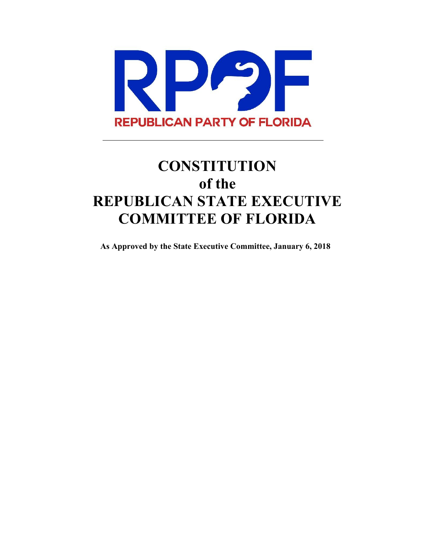

# **CONSTITUTION of the REPUBLICAN STATE EXECUTIVE COMMITTEE OF FLORIDA**

**As Approved by the State Executive Committee, January 6, 2018**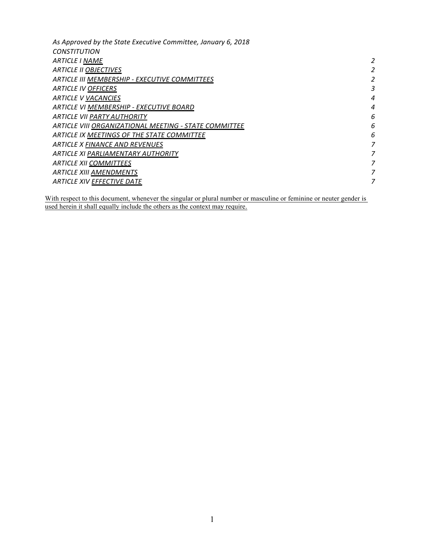| As Approved by the State Executive Committee, January 6, 2018 |   |
|---------------------------------------------------------------|---|
| <b>CONSTITUTION</b>                                           |   |
| <b>ARTICLE I NAME</b>                                         | 2 |
| <b>ARTICLE II OBJECTIVES</b>                                  | 2 |
| ARTICLE III MEMBERSHIP - EXECUTIVE COMMITTEES                 |   |
| <b>ARTICLE IV OFFICERS</b>                                    | 3 |
| <b>ARTICLE V VACANCIES</b>                                    | 4 |
| ARTICLE VI MEMBERSHIP - EXECUTIVE BOARD                       | 4 |
| ARTICLE VII PARTY AUTHORITY                                   | 6 |
| ARTICLE VIII ORGANIZATIONAL MEETING - STATE COMMITTEE         | 6 |
| ARTICLE IX MEETINGS OF THE STATE COMMITTEE                    | 6 |
| ARTICLE X FINANCE AND REVENUES                                | 7 |
| <b>ARTICLE XI PARLIAMENTARY AUTHORITY</b>                     | 7 |
| <b>ARTICLE XII COMMITTEES</b>                                 | 7 |
| <b>ARTICLE XIII AMENDMENTS</b>                                | 7 |
| <b>ARTICLE XIV EFFECTIVE DATE</b>                             | 7 |
|                                                               |   |

With respect to this document, whenever the singular or plural number or masculine or feminine or neuter gender is used herein it shall equally include the others as the context may require.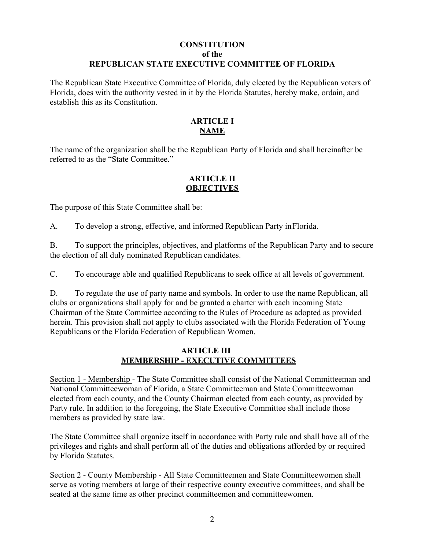# **CONSTITUTION of the REPUBLICAN STATE EXECUTIVE COMMITTEE OF FLORIDA**

The Republican State Executive Committee of Florida, duly elected by the Republican voters of Florida, does with the authority vested in it by the Florida Statutes, hereby make, ordain, and establish this as its Constitution.

# **ARTICLE I NAME**

The name of the organization shall be the Republican Party of Florida and shall hereinafter be referred to as the "State Committee."

## **ARTICLE II OBJECTIVES**

The purpose of this State Committee shall be:

A. To develop a strong, effective, and informed Republican Party in Florida.

B. To support the principles, objectives, and platforms of the Republican Party and to secure the election of all duly nominated Republican candidates.

C. To encourage able and qualified Republicans to seek office at all levels of government.

D. To regulate the use of party name and symbols. In order to use the name Republican, all clubs or organizations shall apply for and be granted a charter with each incoming State Chairman of the State Committee according to the Rules of Procedure as adopted as provided herein. This provision shall not apply to clubs associated with the Florida Federation of Young Republicans or the Florida Federation of Republican Women.

# **ARTICLE III MEMBERSHIP - EXECUTIVE COMMITTEES**

Section 1 - Membership - The State Committee shall consist of the National Committeeman and National Committeewoman of Florida, a State Committeeman and State Committeewoman elected from each county, and the County Chairman elected from each county, as provided by Party rule. In addition to the foregoing, the State Executive Committee shall include those members as provided by state law.

The State Committee shall organize itself in accordance with Party rule and shall have all of the privileges and rights and shall perform all of the duties and obligations afforded by or required by Florida Statutes.

Section 2 - County Membership - All State Committeemen and State Committeewomen shall serve as voting members at large of their respective county executive committees, and shall be seated at the same time as other precinct committeemen and committeewomen.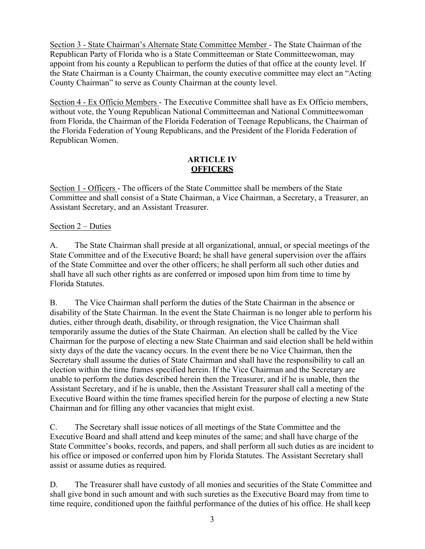Section 3 - State Chairman's Alternate State Committee Member - The State Chairman of the Republican Party of Florida who is a State Committeeman or State Committeewoman, may appoint from his county a Republican to perform the duties of that office at the county level. If the State Chairman is a County Chairman, the county executive committee may elect an "Acting County Chairman" to serve as County Chairman at the county level.

Section 4 - Ex Officio Members - The Executive Committee shall have as Ex Officio members, without vote, the Young Republican National Committeeman and National Committeewoman from Florida, the Chairman of the Florida Federation of Teenage Republicans, the Chairman of the Florida Federation of Young Republicans, and the President of the Florida Federation of Republican Women.

## **ARTICLE IV OFFICERS**

Section 1 - Officers - The officers of the State Committee shall be members of the State Committee and shall consist of a State Chairman, a Vice Chairman, a Secretary, a Treasurer, an Assistant Secretary, and an Assistant Treasurer.

# Section 2 – Duties

A. The State Chairman shall preside at all organizational, annual, or special meetings of the State Committee and of the Executive Board; he shall have general supervision over the affairs of the State Committee and over the other officers; he shall perform all such other duties and shall have all such other rights as are conferred or imposed upon him from time to time by Florida Statutes.

B. The Vice Chairman shall perform the duties of the State Chairman in the absence or disability of the State Chairman. In the event the State Chairman is no longer able to perform his duties, either through death, disability, or through resignation, the Vice Chairman shall temporarily assume the duties of the State Chairman. An election shall be called by the Vice Chairman for the purpose of electing a new State Chairman and said election shall be held within sixty days of the date the vacancy occurs. In the event there be no Vice Chairman, then the Secretary shall assume the duties of State Chairman and shall have the responsibility to call an election within the time frames specified herein. If the Vice Chairman and the Secretary are unable to perform the duties described herein then the Treasurer, and if he is unable, then the Assistant Secretary, and if he is unable, then the Assistant Treasurer shall call a meeting of the Executive Board within the time frames specified herein for the purpose of electing a new State Chairman and for filling any other vacancies that might exist.

C. The Secretary shall issue notices of all meetings of the State Committee and the Executive Board and shall attend and keep minutes of the same; and shall have charge of the State Committee's books, records, and papers, and shall perform all such duties as are incident to his office or imposed or conferred upon him by Florida Statutes. The Assistant Secretary shall assist or assume duties as required.

D. The Treasurer shall have custody of all monies and securities of the State Committee and shall give bond in such amount and with such sureties as the Executive Board may from time to time require, conditioned upon the faithful performance of the duties of his office. He shall keep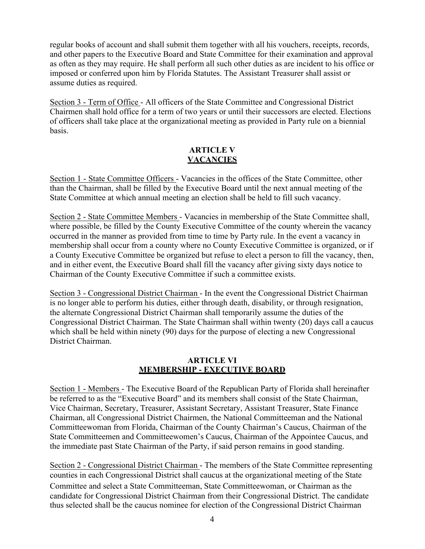regular books of account and shall submit them together with all his vouchers, receipts, records, and other papers to the Executive Board and State Committee for their examination and approval as often as they may require. He shall perform all such other duties as are incident to his office or imposed or conferred upon him by Florida Statutes. The Assistant Treasurer shall assist or assume duties as required.

Section 3 - Term of Office - All officers of the State Committee and Congressional District Chairmen shall hold office for a term of two years or until their successors are elected. Elections of officers shall take place at the organizational meeting as provided in Party rule on a biennial basis.

# **ARTICLE V VACANCIES**

Section 1 - State Committee Officers - Vacancies in the offices of the State Committee, other than the Chairman, shall be filled by the Executive Board until the next annual meeting of the State Committee at which annual meeting an election shall be held to fill such vacancy.

Section 2 - State Committee Members - Vacancies in membership of the State Committee shall, where possible, be filled by the County Executive Committee of the county wherein the vacancy occurred in the manner as provided from time to time by Party rule. In the event a vacancy in membership shall occur from a county where no County Executive Committee is organized, or if a County Executive Committee be organized but refuse to elect a person to fill the vacancy, then, and in either event, the Executive Board shall fill the vacancy after giving sixty days notice to Chairman of the County Executive Committee if such a committee exists.

Section 3 - Congressional District Chairman - In the event the Congressional District Chairman is no longer able to perform his duties, either through death, disability, or through resignation, the alternate Congressional District Chairman shall temporarily assume the duties of the Congressional District Chairman. The State Chairman shall within twenty (20) days call a caucus which shall be held within ninety (90) days for the purpose of electing a new Congressional District Chairman.

# **ARTICLE VI MEMBERSHIP - EXECUTIVE BOARD**

Section 1 - Members - The Executive Board of the Republican Party of Florida shall hereinafter be referred to as the "Executive Board" and its members shall consist of the State Chairman, Vice Chairman, Secretary, Treasurer, Assistant Secretary, Assistant Treasurer, State Finance Chairman, all Congressional District Chairmen, the National Committeeman and the National Committeewoman from Florida, Chairman of the County Chairman's Caucus, Chairman of the State Committeemen and Committeewomen's Caucus, Chairman of the Appointee Caucus, and the immediate past State Chairman of the Party, if said person remains in good standing.

Section 2 - Congressional District Chairman - The members of the State Committee representing counties in each Congressional District shall caucus at the organizational meeting of the State Committee and select a State Committeeman, State Committeewoman, or Chairman as the candidate for Congressional District Chairman from their Congressional District. The candidate thus selected shall be the caucus nominee for election of the Congressional District Chairman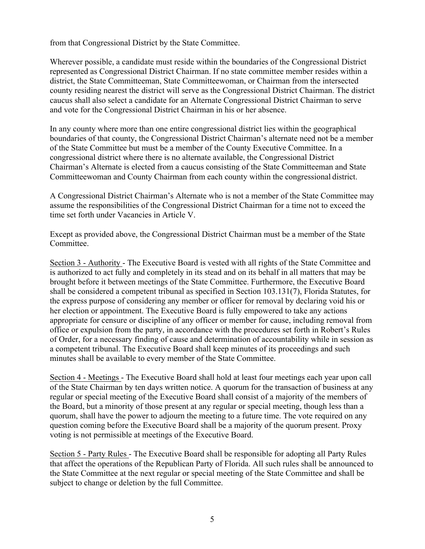from that Congressional District by the State Committee.

Wherever possible, a candidate must reside within the boundaries of the Congressional District represented as Congressional District Chairman. If no state committee member resides within a district, the State Committeeman, State Committeewoman, or Chairman from the intersected county residing nearest the district will serve as the Congressional District Chairman. The district caucus shall also select a candidate for an Alternate Congressional District Chairman to serve and vote for the Congressional District Chairman in his or her absence.

In any county where more than one entire congressional district lies within the geographical boundaries of that county, the Congressional District Chairman's alternate need not be a member of the State Committee but must be a member of the County Executive Committee. In a congressional district where there is no alternate available, the Congressional District Chairman's Alternate is elected from a caucus consisting of the State Committeeman and State Committeewoman and County Chairman from each county within the congressional district.

A Congressional District Chairman's Alternate who is not a member of the State Committee may assume the responsibilities of the Congressional District Chairman for a time not to exceed the time set forth under Vacancies in Article V.

Except as provided above, the Congressional District Chairman must be a member of the State Committee.

Section 3 - Authority - The Executive Board is vested with all rights of the State Committee and is authorized to act fully and completely in its stead and on its behalf in all matters that may be brought before it between meetings of the State Committee. Furthermore, the Executive Board shall be considered a competent tribunal as specified in Section 103.131(7), Florida Statutes, for the express purpose of considering any member or officer for removal by declaring void his or her election or appointment. The Executive Board is fully empowered to take any actions appropriate for censure or discipline of any officer or member for cause, including removal from office or expulsion from the party, in accordance with the procedures set forth in Robert's Rules of Order, for a necessary finding of cause and determination of accountability while in session as a competent tribunal. The Executive Board shall keep minutes of its proceedings and such minutes shall be available to every member of the State Committee.

Section 4 - Meetings - The Executive Board shall hold at least four meetings each year upon call of the State Chairman by ten days written notice. A quorum for the transaction of business at any regular or special meeting of the Executive Board shall consist of a majority of the members of the Board, but a minority of those present at any regular or special meeting, though less than a quorum, shall have the power to adjourn the meeting to a future time. The vote required on any question coming before the Executive Board shall be a majority of the quorum present. Proxy voting is not permissible at meetings of the Executive Board.

Section 5 - Party Rules - The Executive Board shall be responsible for adopting all Party Rules that affect the operations of the Republican Party of Florida. All such rules shall be announced to the State Committee at the next regular or special meeting of the State Committee and shall be subject to change or deletion by the full Committee.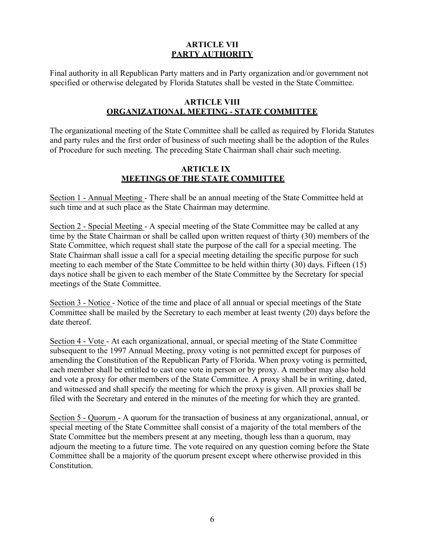# **ARTICLE VII PARTY AUTHORITY**

Final authority in all Republican Party matters and in Party organization and/or government not specified or otherwise delegated by Florida Statutes shall be vested in the State Committee.

#### **ARTICLE VIII ORGANIZATIONAL MEETING - STATE COMMITTEE**

The organizational meeting of the State Committee shall be called as required by Florida Statutes and party rules and the first order of business of such meeting shall be the adoption of the Rules of Procedure for such meeting. The preceding State Chairman shall chair such meeting.

# **ARTICLE IX MEETINGS OF THE STATE COMMITTEE**

Section 1 - Annual Meeting - There shall be an annual meeting of the State Committee held at such time and at such place as the State Chairman may determine.

Section 2 - Special Meeting - A special meeting of the State Committee may be called at any time by the State Chairman or shall be called upon written request of thirty (30) members of the State Committee, which request shall state the purpose of the call for a special meeting. The State Chairman shall issue a call for a special meeting detailing the specific purpose for such meeting to each member of the State Committee to be held within thirty (30) days. Fifteen (15) days notice shall be given to each member of the State Committee by the Secretary for special meetings of the State Committee.

Section 3 - Notice - Notice of the time and place of all annual or special meetings of the State Committee shall be mailed by the Secretary to each member at least twenty (20) days before the date thereof.

Section 4 - Vote - At each organizational, annual, or special meeting of the State Committee subsequent to the 1997 Annual Meeting, proxy voting is not permitted except for purposes of amending the Constitution of the Republican Party of Florida. When proxy voting is permitted, each member shall be entitled to cast one vote in person or by proxy. A member may also hold and vote a proxy for other members of the State Committee. A proxy shall be in writing, dated, and witnessed and shall specify the meeting for which the proxy is given. All proxies shall be filed with the Secretary and entered in the minutes of the meeting for which they are granted.

Section 5 - Quorum - A quorum for the transaction of business at any organizational, annual, or special meeting of the State Committee shall consist of a majority of the total members of the State Committee but the members present at any meeting, though less than a quorum, may adjourn the meeting to a future time. The vote required on any question coming before the State Committee shall be a majority of the quorum present except where otherwise provided in this Constitution.